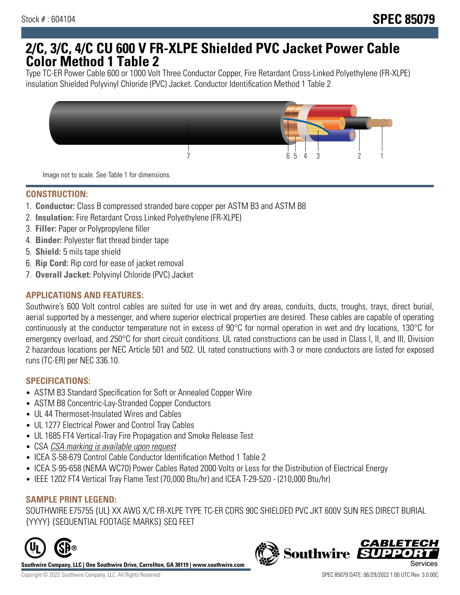# **2/C, 3/C, 4/C CU 600 V FR-XLPE Shielded PVC Jacket Power Cable Color Method 1 Table 2**

Type TC-ER Power Cable 600 or 1000 Volt Three Conductor Copper, Fire Retardant Cross-Linked Polyethylene (FR-XLPE) insulation Shielded Polyvinyl Chloride (PVC) Jacket. Conductor Identification Method 1 Table 2



Image not to scale. See Table 1 for dimensions.

#### **CONSTRUCTION:**

- 1. **Conductor:** Class B compressed stranded bare copper per ASTM B3 and ASTM B8
- 2. **Insulation:** Fire Retardant Cross Linked Polyethylene (FR-XLPE)
- 3. **Filler:** Paper or Polypropylene filler
- 4. **Binder:** Polyester flat thread binder tape
- 5. **Shield:** 5 mils tape shield
- 6. **Rip Cord:** Rip cord for ease of jacket removal
- 7. **Overall Jacket:** Polyvinyl Chloride (PVC) Jacket

## **APPLICATIONS AND FEATURES:**

Southwire's 600 Volt control cables are suited for use in wet and dry areas, conduits, ducts, troughs, trays, direct burial, aerial supported by a messenger, and where superior electrical properties are desired. These cables are capable of operating continuously at the conductor temperature not in excess of 90°C for normal operation in wet and dry locations, 130°C for emergency overload, and 250°C for short circuit conditions. UL rated constructions can be used in Class I, II, and III, Division 2 hazardous locations per NEC Article 501 and 502. UL rated constructions with 3 or more conductors are listed for exposed runs (TC-ER) per NEC 336.10.

#### **SPECIFICATIONS:**

- ASTM B3 Standard Specification for Soft or Annealed Copper Wire
- ASTM B8 Concentric-Lay-Stranded Copper Conductors
- UL 44 Thermoset-Insulated Wires and Cables
- UL 1277 Electrical Power and Control Tray Cables
- UL 1685 FT4 Vertical-Tray Fire Propagation and Smoke Release Test
- CSA CSA marking is available upon request
- ICEA S-58-679 Control Cable Conductor Identification Method 1 Table 2
- ICEA S-95-658 (NEMA WC70) Power Cables Rated 2000 Volts or Less for the Distribution of Electrical Energy
- IEEE 1202 FT4 Vertical Tray Flame Test (70,000 Btu/hr) and ICEA T-29-520 (210,000 Btu/hr)

#### **SAMPLE PRINT LEGEND:**

SOUTHWIRE E75755 {UL} XX AWG X/C FR-XLPE TYPE TC-ER CDRS 90C SHIELDED PVC JKT 600V SUN RES DIRECT BURIAL {YYYY} {SEQUENTIAL FOOTAGE MARKS} SEQ FEET



**Southwire Company, LLC | One Southwire Drive, Carrollton, GA 30119 | www.southwire.com**